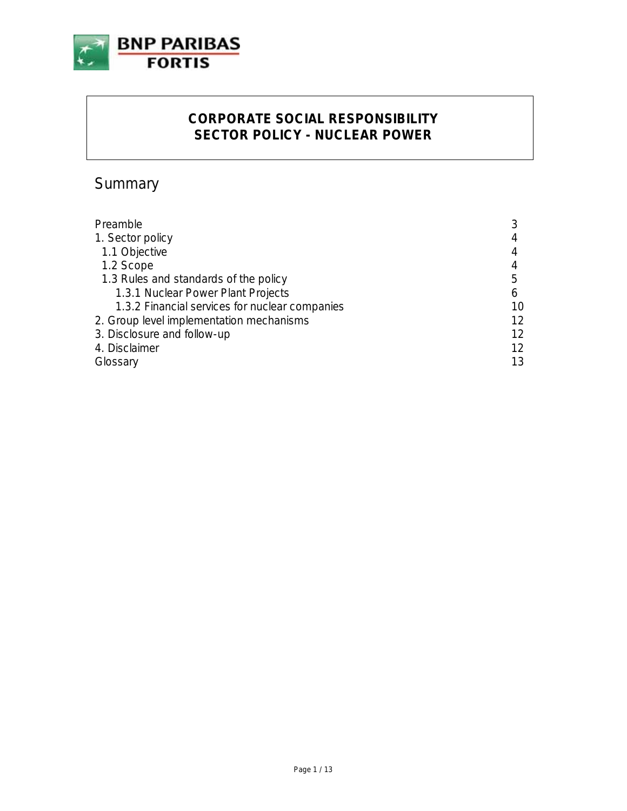

# **CORPORATE SOCIAL RESPONSIBILITY SECTOR POLICY - NUCLEAR POWER**

# Summary

| Preamble                                       |    |
|------------------------------------------------|----|
| 1. Sector policy                               | 4  |
| 1.1 Objective                                  |    |
| 1.2 Scope                                      |    |
| 1.3 Rules and standards of the policy          | 5  |
| 1.3.1 Nuclear Power Plant Projects             | 6  |
| 1.3.2 Financial services for nuclear companies | 10 |
| 2. Group level implementation mechanisms       | 12 |
| 3. Disclosure and follow-up                    | 12 |
| 4. Disclaimer                                  | 12 |
| Glossary                                       | 13 |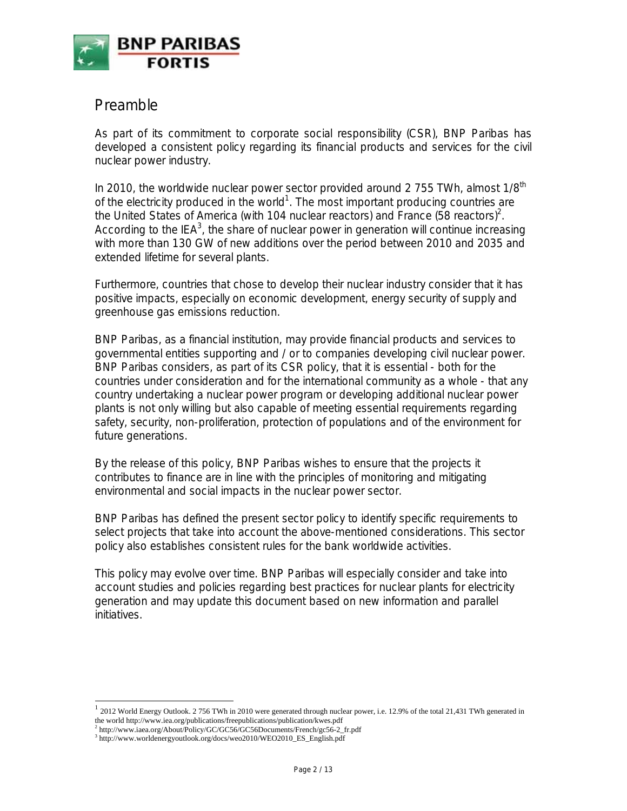

## Preamble

As part of its commitment to corporate social responsibility (CSR), BNP Paribas has developed a consistent policy regarding its financial products and services for the civil nuclear power industry.

In 2010, the worldwide nuclear power sector provided around 2 755 TWh, almost  $1/8<sup>th</sup>$ of the electricity produced in the world<sup>1</sup>. The most important producing countries are the United States of America (with 104 nuclear reactors) and France (58 reactors)<sup>2</sup>. According to the IEA<sup>3</sup>, the share of nuclear power in generation will continue increasing with more than 130 GW of new additions over the period between 2010 and 2035 and extended lifetime for several plants.

Furthermore, countries that chose to develop their nuclear industry consider that it has positive impacts, especially on economic development, energy security of supply and greenhouse gas emissions reduction.

BNP Paribas, as a financial institution, may provide financial products and services to governmental entities supporting and / or to companies developing civil nuclear power. BNP Paribas considers, as part of its CSR policy, that it is essential - both for the countries under consideration and for the international community as a whole - that any country undertaking a nuclear power program or developing additional nuclear power plants is not only willing but also capable of meeting essential requirements regarding safety, security, non-proliferation, protection of populations and of the environment for future generations.

By the release of this policy, BNP Paribas wishes to ensure that the projects it contributes to finance are in line with the principles of monitoring and mitigating environmental and social impacts in the nuclear power sector.

BNP Paribas has defined the present sector policy to identify specific requirements to select projects that take into account the above-mentioned considerations. This sector policy also establishes consistent rules for the bank worldwide activities.

This policy may evolve over time. BNP Paribas will especially consider and take into account studies and policies regarding best practices for nuclear plants for electricity generation and may update this document based on new information and parallel initiatives.

l

<sup>1</sup> 2012 World Energy Outlook. 2 756 TWh in 2010 were generated through nuclear power, i.e. 12.9% of the total 21,431 TWh generated in the world http://www.iea.org/publications/freepublications/publication/kwes.pdf

<sup>&</sup>lt;sup>2</sup> http://www.iaea.org/About/Policy/GC/GC56/GC56Documents/French/gc56-2\_fr.pdf

<sup>&</sup>lt;sup>3</sup> http://www.worldenergyoutlook.org/docs/weo2010/WEO2010\_ES\_English.pdf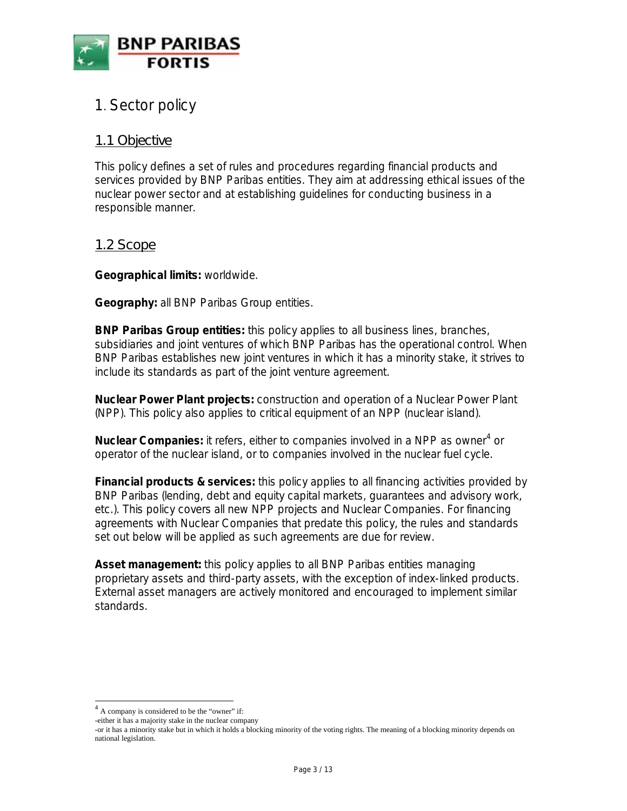

# 1. Sector policy

### *1.1 Objective*

This policy defines a set of rules and procedures regarding financial products and services provided by BNP Paribas entities. They aim at addressing ethical issues of the nuclear power sector and at establishing guidelines for conducting business in a responsible manner.

### *1.2 Scope*

**Geographical limits:** worldwide.

**Geography:** all BNP Paribas Group entities.

**BNP Paribas Group entities:** this policy applies to all business lines, branches, subsidiaries and joint ventures of which BNP Paribas has the operational control. When BNP Paribas establishes new joint ventures in which it has a minority stake, it strives to include its standards as part of the joint venture agreement.

**Nuclear Power Plant projects:** construction and operation of a Nuclear Power Plant (NPP). This policy also applies to critical equipment of an NPP (nuclear island).

**Nuclear Companies:** it refers, either to companies involved in a NPP as owner<sup>4</sup> or operator of the nuclear island, or to companies involved in the nuclear fuel cycle.

**Financial products & services:** this policy applies to all financing activities provided by BNP Paribas (lending, debt and equity capital markets, guarantees and advisory work, etc.). This policy covers all new NPP projects and Nuclear Companies. For financing agreements with Nuclear Companies that predate this policy, the rules and standards set out below will be applied as such agreements are due for review.

**Asset management:** this policy applies to all BNP Paribas entities managing proprietary assets and third-party assets, with the exception of index-linked products. External asset managers are actively monitored and encouraged to implement similar standards.

l

<sup>4</sup> A company is considered to be the "owner" if:

<sup>-</sup>either it has a majority stake in the nuclear company

<sup>-</sup>or it has a minority stake but in which it holds a blocking minority of the voting rights. The meaning of a blocking minority depends on national legislation.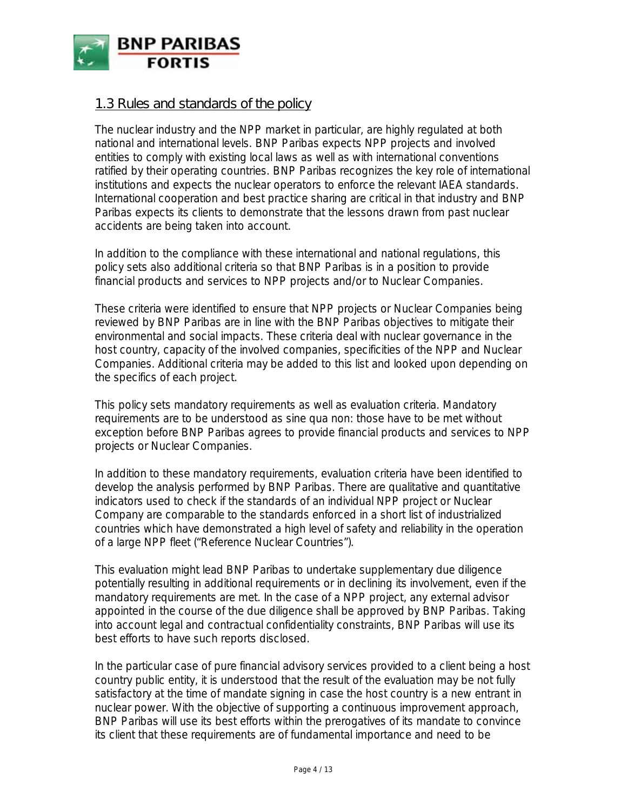

## *1.3 Rules and standards of the policy*

The nuclear industry and the NPP market in particular, are highly regulated at both national and international levels. BNP Paribas expects NPP projects and involved entities to comply with existing local laws as well as with international conventions ratified by their operating countries. BNP Paribas recognizes the key role of international institutions and expects the nuclear operators to enforce the relevant IAEA standards. International cooperation and best practice sharing are critical in that industry and BNP Paribas expects its clients to demonstrate that the lessons drawn from past nuclear accidents are being taken into account.

In addition to the compliance with these international and national regulations, this policy sets also additional criteria so that BNP Paribas is in a position to provide financial products and services to NPP projects and/or to Nuclear Companies.

These criteria were identified to ensure that NPP projects or Nuclear Companies being reviewed by BNP Paribas are in line with the BNP Paribas objectives to mitigate their environmental and social impacts. These criteria deal with nuclear governance in the host country, capacity of the involved companies, specificities of the NPP and Nuclear Companies. Additional criteria may be added to this list and looked upon depending on the specifics of each project.

This policy sets mandatory requirements as well as evaluation criteria. Mandatory requirements are to be understood as sine qua non: those have to be met without exception before BNP Paribas agrees to provide financial products and services to NPP projects or Nuclear Companies.

In addition to these mandatory requirements, evaluation criteria have been identified to develop the analysis performed by BNP Paribas. There are qualitative and quantitative indicators used to check if the standards of an individual NPP project or Nuclear Company are comparable to the standards enforced in a short list of industrialized countries which have demonstrated a high level of safety and reliability in the operation of a large NPP fleet ("Reference Nuclear Countries").

This evaluation might lead BNP Paribas to undertake supplementary due diligence potentially resulting in additional requirements or in declining its involvement, even if the mandatory requirements are met. In the case of a NPP project, any external advisor appointed in the course of the due diligence shall be approved by BNP Paribas. Taking into account legal and contractual confidentiality constraints, BNP Paribas will use its best efforts to have such reports disclosed.

In the particular case of pure financial advisory services provided to a client being a host country public entity, it is understood that the result of the evaluation may be not fully satisfactory at the time of mandate signing in case the host country is a new entrant in nuclear power. With the objective of supporting a continuous improvement approach, BNP Paribas will use its best efforts within the prerogatives of its mandate to convince its client that these requirements are of fundamental importance and need to be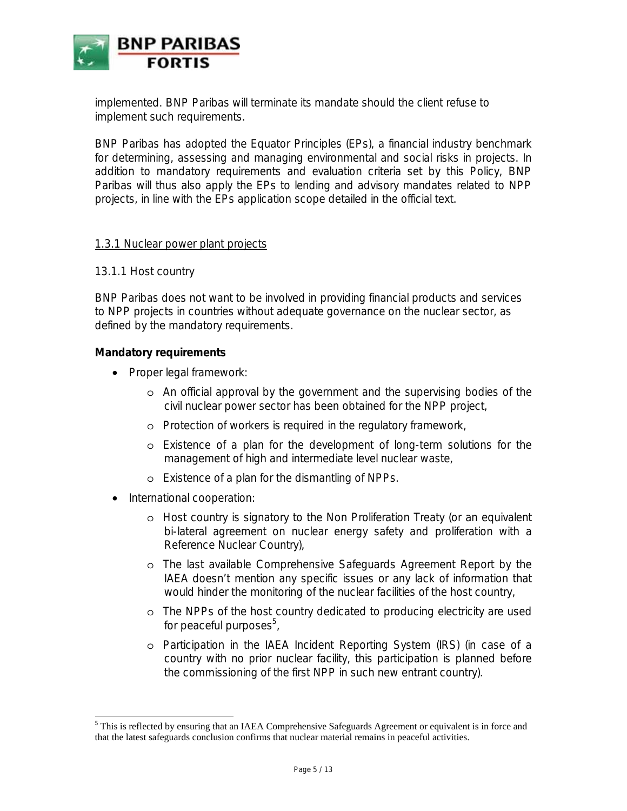

implemented. BNP Paribas will terminate its mandate should the client refuse to implement such requirements.

BNP Paribas has adopted the Equator Principles (EPs), a financial industry benchmark for determining, assessing and managing environmental and social risks in projects. In addition to mandatory requirements and evaluation criteria set by this Policy, BNP Paribas will thus also apply the EPs to lending and advisory mandates related to NPP projects, in line with the EPs application scope detailed in the official text.

#### 1.3.1 Nuclear power plant projects

#### 13.1.1 Host country

BNP Paribas does not want to be involved in providing financial products and services to NPP projects in countries without adequate governance on the nuclear sector, as defined by the mandatory requirements.

#### **Mandatory requirements**

- Proper legal framework:
	- o An official approval by the government and the supervising bodies of the civil nuclear power sector has been obtained for the NPP project,
	- o Protection of workers is required in the regulatory framework,
	- o Existence of a plan for the development of long-term solutions for the management of high and intermediate level nuclear waste,
	- o Existence of a plan for the dismantling of NPPs.
- International cooperation:

 $\overline{a}$ 

- o Host country is signatory to the Non Proliferation Treaty (or an equivalent bi-lateral agreement on nuclear energy safety and proliferation with a Reference Nuclear Country),
- o The last available Comprehensive Safeguards Agreement Report by the IAEA doesn't mention any specific issues or any lack of information that would hinder the monitoring of the nuclear facilities of the host country,
- o The NPPs of the host country dedicated to producing electricity are used for peaceful purposes<sup>5</sup>,
- o Participation in the IAEA Incident Reporting System (IRS) (in case of a country with no prior nuclear facility, this participation is planned before the commissioning of the first NPP in such new entrant country).

<sup>&</sup>lt;sup>5</sup> This is reflected by ensuring that an IAEA Comprehensive Safeguards Agreement or equivalent is in force and that the latest safeguards conclusion confirms that nuclear material remains in peaceful activities.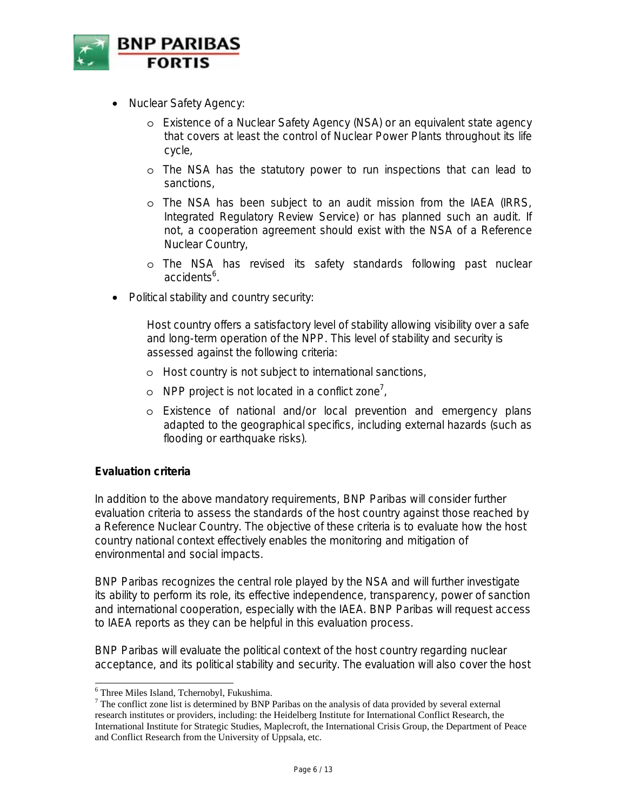

- Nuclear Safety Agency:
	- o Existence of a Nuclear Safety Agency (NSA) or an equivalent state agency that covers at least the control of Nuclear Power Plants throughout its life cycle,
	- o The NSA has the statutory power to run inspections that can lead to sanctions,
	- o The NSA has been subject to an audit mission from the IAEA (IRRS, Integrated Regulatory Review Service) or has planned such an audit. If not, a cooperation agreement should exist with the NSA of a Reference Nuclear Country,
	- o The NSA has revised its safety standards following past nuclear accidents<sup>6</sup>.
- Political stability and country security:

Host country offers a satisfactory level of stability allowing visibility over a safe and long-term operation of the NPP. This level of stability and security is assessed against the following criteria:

- o Host country is not subject to international sanctions,
- o NPP project is not located in a conflict zone<sup>7</sup>,
- o Existence of national and/or local prevention and emergency plans adapted to the geographical specifics, including external hazards (such as flooding or earthquake risks).

### **Evaluation criteria**

In addition to the above mandatory requirements, BNP Paribas will consider further evaluation criteria to assess the standards of the host country against those reached by a Reference Nuclear Country. The objective of these criteria is to evaluate how the host country national context effectively enables the monitoring and mitigation of environmental and social impacts.

BNP Paribas recognizes the central role played by the NSA and will further investigate its ability to perform its role, its effective independence, transparency, power of sanction and international cooperation, especially with the IAEA. BNP Paribas will request access to IAEA reports as they can be helpful in this evaluation process.

BNP Paribas will evaluate the political context of the host country regarding nuclear acceptance, and its political stability and security. The evaluation will also cover the host

<sup>&</sup>lt;sup>6</sup> Three Miles Island, Tchernobyl, Fukushima.<br><sup>7</sup> The conflict zone list is determined by PNP I

 $7$  The conflict zone list is determined by BNP Paribas on the analysis of data provided by several external research institutes or providers, including: the Heidelberg Institute for International Conflict Research, the International Institute for Strategic Studies, Maplecroft, the International Crisis Group, the Department of Peace and Conflict Research from the University of Uppsala, etc.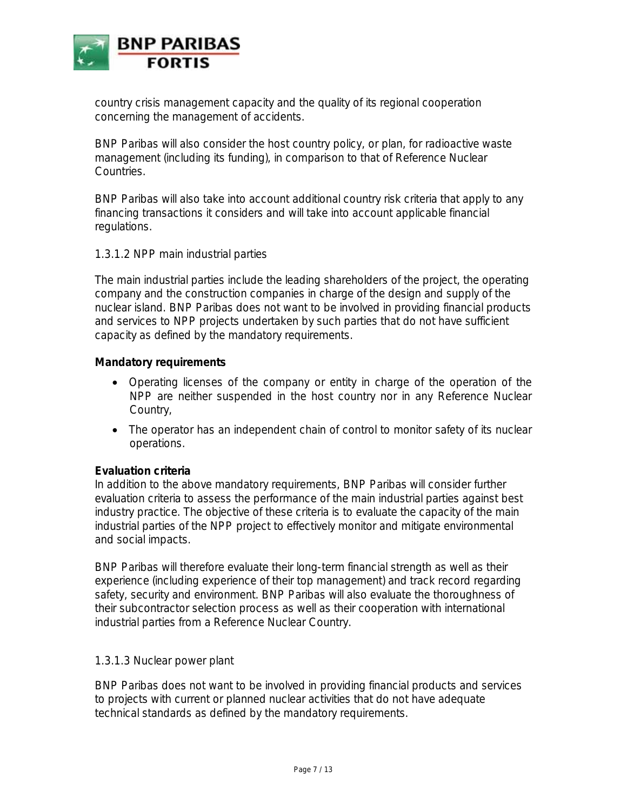

country crisis management capacity and the quality of its regional cooperation concerning the management of accidents.

BNP Paribas will also consider the host country policy, or plan, for radioactive waste management (including its funding), in comparison to that of Reference Nuclear Countries.

BNP Paribas will also take into account additional country risk criteria that apply to any financing transactions it considers and will take into account applicable financial regulations.

#### 1.3.1.2 NPP main industrial parties

The main industrial parties include the leading shareholders of the project, the operating company and the construction companies in charge of the design and supply of the nuclear island. BNP Paribas does not want to be involved in providing financial products and services to NPP projects undertaken by such parties that do not have sufficient capacity as defined by the mandatory requirements.

#### **Mandatory requirements**

- Operating licenses of the company or entity in charge of the operation of the NPP are neither suspended in the host country nor in any Reference Nuclear Country,
- The operator has an independent chain of control to monitor safety of its nuclear operations.

#### **Evaluation criteria**

In addition to the above mandatory requirements, BNP Paribas will consider further evaluation criteria to assess the performance of the main industrial parties against best industry practice. The objective of these criteria is to evaluate the capacity of the main industrial parties of the NPP project to effectively monitor and mitigate environmental and social impacts.

BNP Paribas will therefore evaluate their long-term financial strength as well as their experience (including experience of their top management) and track record regarding safety, security and environment. BNP Paribas will also evaluate the thoroughness of their subcontractor selection process as well as their cooperation with international industrial parties from a Reference Nuclear Country.

#### 1.3.1.3 Nuclear power plant

BNP Paribas does not want to be involved in providing financial products and services to projects with current or planned nuclear activities that do not have adequate technical standards as defined by the mandatory requirements.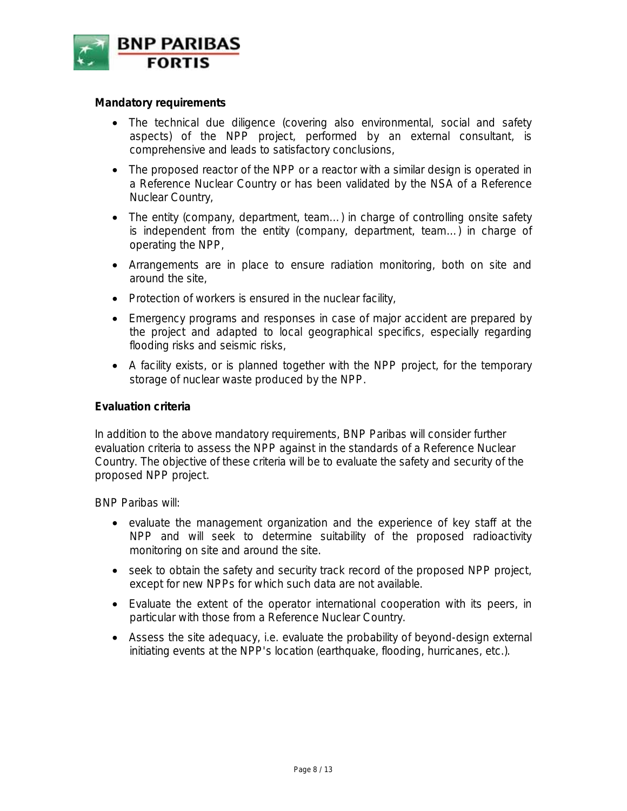

#### **Mandatory requirements**

- The technical due diligence (covering also environmental, social and safety aspects) of the NPP project, performed by an external consultant, is comprehensive and leads to satisfactory conclusions,
- The proposed reactor of the NPP or a reactor with a similar design is operated in a Reference Nuclear Country or has been validated by the NSA of a Reference Nuclear Country,
- The entity (company, department, team...) in charge of controlling onsite safety is independent from the entity (company, department, team…) in charge of operating the NPP,
- Arrangements are in place to ensure radiation monitoring, both on site and around the site,
- Protection of workers is ensured in the nuclear facility,
- Emergency programs and responses in case of major accident are prepared by the project and adapted to local geographical specifics, especially regarding flooding risks and seismic risks,
- A facility exists, or is planned together with the NPP project, for the temporary storage of nuclear waste produced by the NPP.

#### **Evaluation criteria**

In addition to the above mandatory requirements, BNP Paribas will consider further evaluation criteria to assess the NPP against in the standards of a Reference Nuclear Country. The objective of these criteria will be to evaluate the safety and security of the proposed NPP project.

BNP Paribas will:

- evaluate the management organization and the experience of key staff at the NPP and will seek to determine suitability of the proposed radioactivity monitoring on site and around the site.
- seek to obtain the safety and security track record of the proposed NPP project, except for new NPPs for which such data are not available.
- Evaluate the extent of the operator international cooperation with its peers, in particular with those from a Reference Nuclear Country.
- Assess the site adequacy, i.e. evaluate the probability of beyond-design external initiating events at the NPP's location (earthquake, flooding, hurricanes, etc.).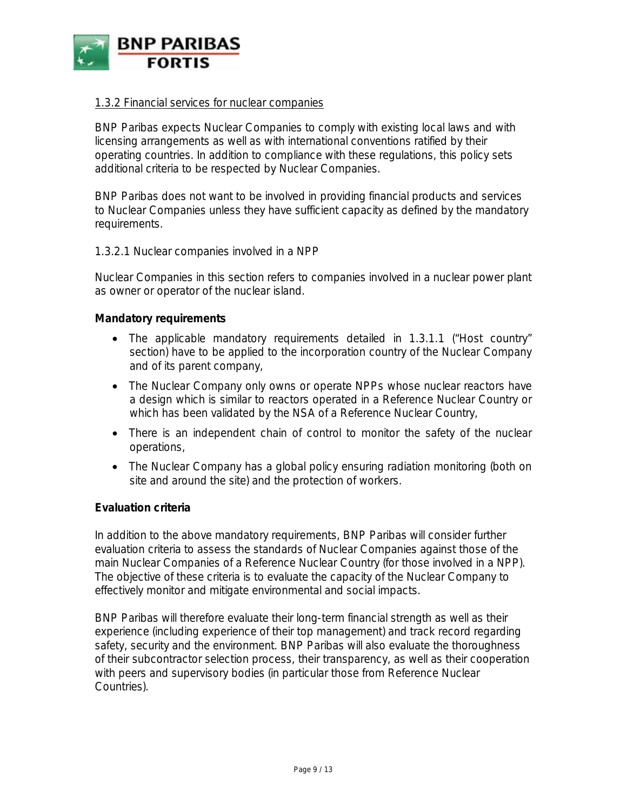

#### 1.3.2 Financial services for nuclear companies

BNP Paribas expects Nuclear Companies to comply with existing local laws and with licensing arrangements as well as with international conventions ratified by their operating countries. In addition to compliance with these regulations, this policy sets additional criteria to be respected by Nuclear Companies.

BNP Paribas does not want to be involved in providing financial products and services to Nuclear Companies unless they have sufficient capacity as defined by the mandatory requirements.

#### 1.3.2.1 Nuclear companies involved in a NPP

Nuclear Companies in this section refers to companies involved in a nuclear power plant as owner or operator of the nuclear island.

#### **Mandatory requirements**

- The applicable mandatory requirements detailed in 1.3.1.1 ("Host country" section) have to be applied to the incorporation country of the Nuclear Company and of its parent company,
- The Nuclear Company only owns or operate NPPs whose nuclear reactors have a design which is similar to reactors operated in a Reference Nuclear Country or which has been validated by the NSA of a Reference Nuclear Country,
- There is an independent chain of control to monitor the safety of the nuclear operations,
- The Nuclear Company has a global policy ensuring radiation monitoring (both on site and around the site) and the protection of workers.

#### **Evaluation criteria**

In addition to the above mandatory requirements, BNP Paribas will consider further evaluation criteria to assess the standards of Nuclear Companies against those of the main Nuclear Companies of a Reference Nuclear Country (for those involved in a NPP). The objective of these criteria is to evaluate the capacity of the Nuclear Company to effectively monitor and mitigate environmental and social impacts.

BNP Paribas will therefore evaluate their long-term financial strength as well as their experience (including experience of their top management) and track record regarding safety, security and the environment. BNP Paribas will also evaluate the thoroughness of their subcontractor selection process, their transparency, as well as their cooperation with peers and supervisory bodies (in particular those from Reference Nuclear Countries).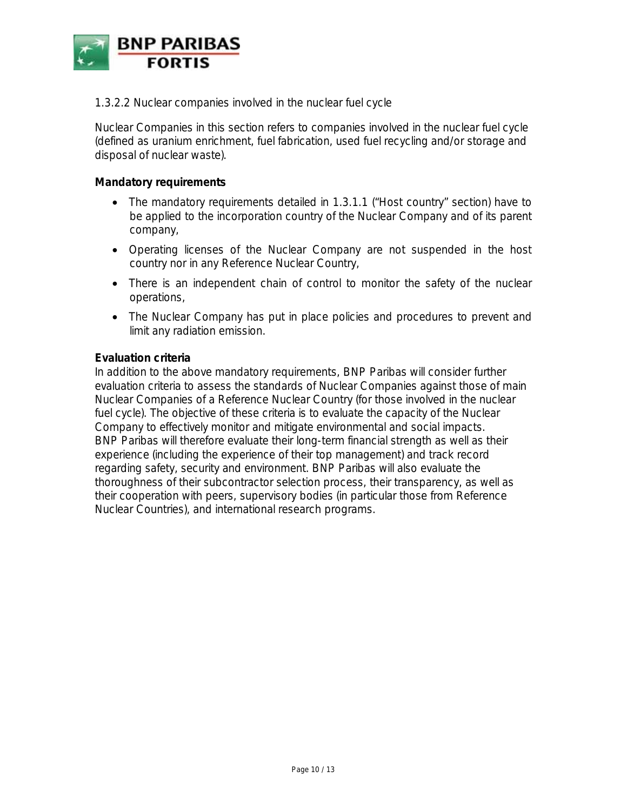

1.3.2.2 Nuclear companies involved in the nuclear fuel cycle

Nuclear Companies in this section refers to companies involved in the nuclear fuel cycle (defined as uranium enrichment, fuel fabrication, used fuel recycling and/or storage and disposal of nuclear waste).

#### **Mandatory requirements**

- The mandatory requirements detailed in 1.3.1.1 ("Host country" section) have to be applied to the incorporation country of the Nuclear Company and of its parent company,
- Operating licenses of the Nuclear Company are not suspended in the host country nor in any Reference Nuclear Country,
- There is an independent chain of control to monitor the safety of the nuclear operations,
- The Nuclear Company has put in place policies and procedures to prevent and limit any radiation emission.

#### **Evaluation criteria**

In addition to the above mandatory requirements, BNP Paribas will consider further evaluation criteria to assess the standards of Nuclear Companies against those of main Nuclear Companies of a Reference Nuclear Country (for those involved in the nuclear fuel cycle). The objective of these criteria is to evaluate the capacity of the Nuclear Company to effectively monitor and mitigate environmental and social impacts. BNP Paribas will therefore evaluate their long-term financial strength as well as their experience (including the experience of their top management) and track record regarding safety, security and environment. BNP Paribas will also evaluate the thoroughness of their subcontractor selection process, their transparency, as well as their cooperation with peers, supervisory bodies (in particular those from Reference Nuclear Countries), and international research programs.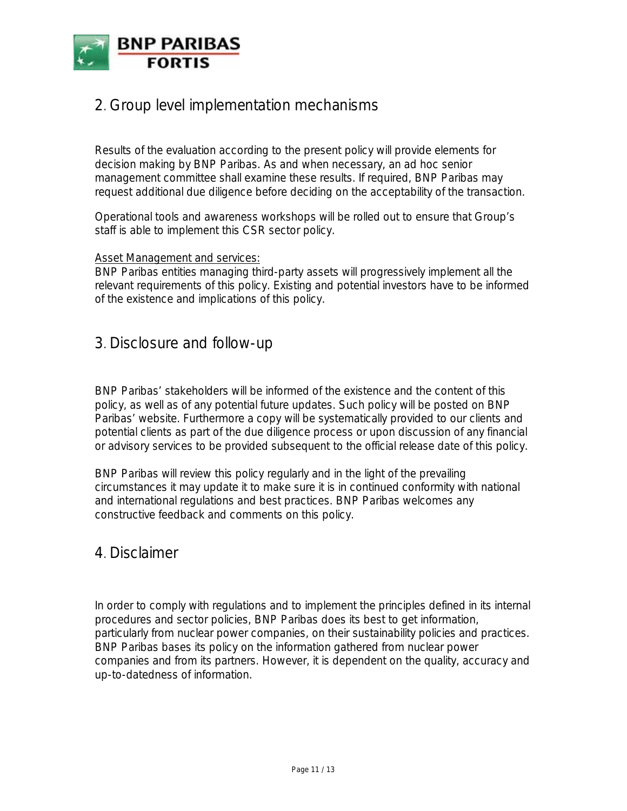

# 2. Group level implementation mechanisms

Results of the evaluation according to the present policy will provide elements for decision making by BNP Paribas. As and when necessary, an ad hoc senior management committee shall examine these results. If required, BNP Paribas may request additional due diligence before deciding on the acceptability of the transaction.

Operational tools and awareness workshops will be rolled out to ensure that Group's staff is able to implement this CSR sector policy.

#### Asset Management and services:

BNP Paribas entities managing third-party assets will progressively implement all the relevant requirements of this policy. Existing and potential investors have to be informed of the existence and implications of this policy.

# 3. Disclosure and follow-up

BNP Paribas' stakeholders will be informed of the existence and the content of this policy, as well as of any potential future updates. Such policy will be posted on BNP Paribas' website. Furthermore a copy will be systematically provided to our clients and potential clients as part of the due diligence process or upon discussion of any financial or advisory services to be provided subsequent to the official release date of this policy.

BNP Paribas will review this policy regularly and in the light of the prevailing circumstances it may update it to make sure it is in continued conformity with national and international regulations and best practices. BNP Paribas welcomes any constructive feedback and comments on this policy.

## 4. Disclaimer

In order to comply with regulations and to implement the principles defined in its internal procedures and sector policies, BNP Paribas does its best to get information, particularly from nuclear power companies, on their sustainability policies and practices. BNP Paribas bases its policy on the information gathered from nuclear power companies and from its partners. However, it is dependent on the quality, accuracy and up-to-datedness of information.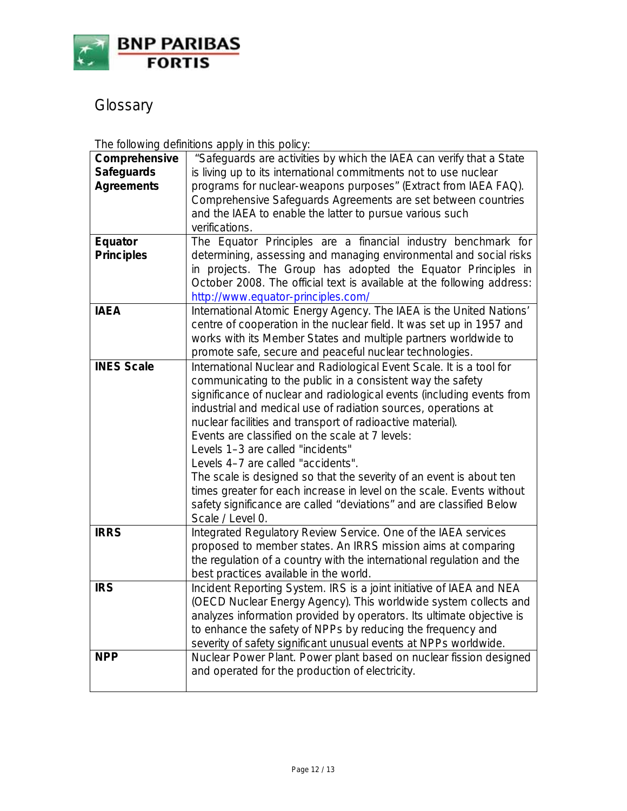

Glossary

The following definitions apply in this policy:

| Comprehensive                                                               | "Safeguards are activities by which the IAEA can verify that a State                                                                                                                                                                                                                                                                                                                                                                                                                                                                                                                                                                                                                                                                                                                                                                                                                                                                                                                                                                                                                                                                                                                                                                                                                                                                                                                                                                                                                                                                                                                                                                                                                                                                                                                                                                                                                                                       |
|-----------------------------------------------------------------------------|----------------------------------------------------------------------------------------------------------------------------------------------------------------------------------------------------------------------------------------------------------------------------------------------------------------------------------------------------------------------------------------------------------------------------------------------------------------------------------------------------------------------------------------------------------------------------------------------------------------------------------------------------------------------------------------------------------------------------------------------------------------------------------------------------------------------------------------------------------------------------------------------------------------------------------------------------------------------------------------------------------------------------------------------------------------------------------------------------------------------------------------------------------------------------------------------------------------------------------------------------------------------------------------------------------------------------------------------------------------------------------------------------------------------------------------------------------------------------------------------------------------------------------------------------------------------------------------------------------------------------------------------------------------------------------------------------------------------------------------------------------------------------------------------------------------------------------------------------------------------------------------------------------------------------|
| <b>Safeguards</b>                                                           | is living up to its international commitments not to use nuclear                                                                                                                                                                                                                                                                                                                                                                                                                                                                                                                                                                                                                                                                                                                                                                                                                                                                                                                                                                                                                                                                                                                                                                                                                                                                                                                                                                                                                                                                                                                                                                                                                                                                                                                                                                                                                                                           |
| <b>Agreements</b>                                                           | programs for nuclear-weapons purposes" (Extract from IAEA FAQ).                                                                                                                                                                                                                                                                                                                                                                                                                                                                                                                                                                                                                                                                                                                                                                                                                                                                                                                                                                                                                                                                                                                                                                                                                                                                                                                                                                                                                                                                                                                                                                                                                                                                                                                                                                                                                                                            |
|                                                                             | Comprehensive Safeguards Agreements are set between countries                                                                                                                                                                                                                                                                                                                                                                                                                                                                                                                                                                                                                                                                                                                                                                                                                                                                                                                                                                                                                                                                                                                                                                                                                                                                                                                                                                                                                                                                                                                                                                                                                                                                                                                                                                                                                                                              |
|                                                                             | and the IAEA to enable the latter to pursue various such                                                                                                                                                                                                                                                                                                                                                                                                                                                                                                                                                                                                                                                                                                                                                                                                                                                                                                                                                                                                                                                                                                                                                                                                                                                                                                                                                                                                                                                                                                                                                                                                                                                                                                                                                                                                                                                                   |
|                                                                             | verifications.                                                                                                                                                                                                                                                                                                                                                                                                                                                                                                                                                                                                                                                                                                                                                                                                                                                                                                                                                                                                                                                                                                                                                                                                                                                                                                                                                                                                                                                                                                                                                                                                                                                                                                                                                                                                                                                                                                             |
| Equator                                                                     | The Equator Principles are a financial industry benchmark for                                                                                                                                                                                                                                                                                                                                                                                                                                                                                                                                                                                                                                                                                                                                                                                                                                                                                                                                                                                                                                                                                                                                                                                                                                                                                                                                                                                                                                                                                                                                                                                                                                                                                                                                                                                                                                                              |
| <b>Principles</b>                                                           | determining, assessing and managing environmental and social risks                                                                                                                                                                                                                                                                                                                                                                                                                                                                                                                                                                                                                                                                                                                                                                                                                                                                                                                                                                                                                                                                                                                                                                                                                                                                                                                                                                                                                                                                                                                                                                                                                                                                                                                                                                                                                                                         |
|                                                                             |                                                                                                                                                                                                                                                                                                                                                                                                                                                                                                                                                                                                                                                                                                                                                                                                                                                                                                                                                                                                                                                                                                                                                                                                                                                                                                                                                                                                                                                                                                                                                                                                                                                                                                                                                                                                                                                                                                                            |
|                                                                             |                                                                                                                                                                                                                                                                                                                                                                                                                                                                                                                                                                                                                                                                                                                                                                                                                                                                                                                                                                                                                                                                                                                                                                                                                                                                                                                                                                                                                                                                                                                                                                                                                                                                                                                                                                                                                                                                                                                            |
|                                                                             |                                                                                                                                                                                                                                                                                                                                                                                                                                                                                                                                                                                                                                                                                                                                                                                                                                                                                                                                                                                                                                                                                                                                                                                                                                                                                                                                                                                                                                                                                                                                                                                                                                                                                                                                                                                                                                                                                                                            |
|                                                                             |                                                                                                                                                                                                                                                                                                                                                                                                                                                                                                                                                                                                                                                                                                                                                                                                                                                                                                                                                                                                                                                                                                                                                                                                                                                                                                                                                                                                                                                                                                                                                                                                                                                                                                                                                                                                                                                                                                                            |
|                                                                             |                                                                                                                                                                                                                                                                                                                                                                                                                                                                                                                                                                                                                                                                                                                                                                                                                                                                                                                                                                                                                                                                                                                                                                                                                                                                                                                                                                                                                                                                                                                                                                                                                                                                                                                                                                                                                                                                                                                            |
|                                                                             |                                                                                                                                                                                                                                                                                                                                                                                                                                                                                                                                                                                                                                                                                                                                                                                                                                                                                                                                                                                                                                                                                                                                                                                                                                                                                                                                                                                                                                                                                                                                                                                                                                                                                                                                                                                                                                                                                                                            |
|                                                                             |                                                                                                                                                                                                                                                                                                                                                                                                                                                                                                                                                                                                                                                                                                                                                                                                                                                                                                                                                                                                                                                                                                                                                                                                                                                                                                                                                                                                                                                                                                                                                                                                                                                                                                                                                                                                                                                                                                                            |
|                                                                             |                                                                                                                                                                                                                                                                                                                                                                                                                                                                                                                                                                                                                                                                                                                                                                                                                                                                                                                                                                                                                                                                                                                                                                                                                                                                                                                                                                                                                                                                                                                                                                                                                                                                                                                                                                                                                                                                                                                            |
|                                                                             |                                                                                                                                                                                                                                                                                                                                                                                                                                                                                                                                                                                                                                                                                                                                                                                                                                                                                                                                                                                                                                                                                                                                                                                                                                                                                                                                                                                                                                                                                                                                                                                                                                                                                                                                                                                                                                                                                                                            |
|                                                                             |                                                                                                                                                                                                                                                                                                                                                                                                                                                                                                                                                                                                                                                                                                                                                                                                                                                                                                                                                                                                                                                                                                                                                                                                                                                                                                                                                                                                                                                                                                                                                                                                                                                                                                                                                                                                                                                                                                                            |
|                                                                             |                                                                                                                                                                                                                                                                                                                                                                                                                                                                                                                                                                                                                                                                                                                                                                                                                                                                                                                                                                                                                                                                                                                                                                                                                                                                                                                                                                                                                                                                                                                                                                                                                                                                                                                                                                                                                                                                                                                            |
|                                                                             |                                                                                                                                                                                                                                                                                                                                                                                                                                                                                                                                                                                                                                                                                                                                                                                                                                                                                                                                                                                                                                                                                                                                                                                                                                                                                                                                                                                                                                                                                                                                                                                                                                                                                                                                                                                                                                                                                                                            |
|                                                                             |                                                                                                                                                                                                                                                                                                                                                                                                                                                                                                                                                                                                                                                                                                                                                                                                                                                                                                                                                                                                                                                                                                                                                                                                                                                                                                                                                                                                                                                                                                                                                                                                                                                                                                                                                                                                                                                                                                                            |
|                                                                             |                                                                                                                                                                                                                                                                                                                                                                                                                                                                                                                                                                                                                                                                                                                                                                                                                                                                                                                                                                                                                                                                                                                                                                                                                                                                                                                                                                                                                                                                                                                                                                                                                                                                                                                                                                                                                                                                                                                            |
|                                                                             |                                                                                                                                                                                                                                                                                                                                                                                                                                                                                                                                                                                                                                                                                                                                                                                                                                                                                                                                                                                                                                                                                                                                                                                                                                                                                                                                                                                                                                                                                                                                                                                                                                                                                                                                                                                                                                                                                                                            |
|                                                                             |                                                                                                                                                                                                                                                                                                                                                                                                                                                                                                                                                                                                                                                                                                                                                                                                                                                                                                                                                                                                                                                                                                                                                                                                                                                                                                                                                                                                                                                                                                                                                                                                                                                                                                                                                                                                                                                                                                                            |
|                                                                             |                                                                                                                                                                                                                                                                                                                                                                                                                                                                                                                                                                                                                                                                                                                                                                                                                                                                                                                                                                                                                                                                                                                                                                                                                                                                                                                                                                                                                                                                                                                                                                                                                                                                                                                                                                                                                                                                                                                            |
|                                                                             |                                                                                                                                                                                                                                                                                                                                                                                                                                                                                                                                                                                                                                                                                                                                                                                                                                                                                                                                                                                                                                                                                                                                                                                                                                                                                                                                                                                                                                                                                                                                                                                                                                                                                                                                                                                                                                                                                                                            |
|                                                                             |                                                                                                                                                                                                                                                                                                                                                                                                                                                                                                                                                                                                                                                                                                                                                                                                                                                                                                                                                                                                                                                                                                                                                                                                                                                                                                                                                                                                                                                                                                                                                                                                                                                                                                                                                                                                                                                                                                                            |
|                                                                             |                                                                                                                                                                                                                                                                                                                                                                                                                                                                                                                                                                                                                                                                                                                                                                                                                                                                                                                                                                                                                                                                                                                                                                                                                                                                                                                                                                                                                                                                                                                                                                                                                                                                                                                                                                                                                                                                                                                            |
|                                                                             |                                                                                                                                                                                                                                                                                                                                                                                                                                                                                                                                                                                                                                                                                                                                                                                                                                                                                                                                                                                                                                                                                                                                                                                                                                                                                                                                                                                                                                                                                                                                                                                                                                                                                                                                                                                                                                                                                                                            |
|                                                                             |                                                                                                                                                                                                                                                                                                                                                                                                                                                                                                                                                                                                                                                                                                                                                                                                                                                                                                                                                                                                                                                                                                                                                                                                                                                                                                                                                                                                                                                                                                                                                                                                                                                                                                                                                                                                                                                                                                                            |
|                                                                             |                                                                                                                                                                                                                                                                                                                                                                                                                                                                                                                                                                                                                                                                                                                                                                                                                                                                                                                                                                                                                                                                                                                                                                                                                                                                                                                                                                                                                                                                                                                                                                                                                                                                                                                                                                                                                                                                                                                            |
|                                                                             |                                                                                                                                                                                                                                                                                                                                                                                                                                                                                                                                                                                                                                                                                                                                                                                                                                                                                                                                                                                                                                                                                                                                                                                                                                                                                                                                                                                                                                                                                                                                                                                                                                                                                                                                                                                                                                                                                                                            |
|                                                                             |                                                                                                                                                                                                                                                                                                                                                                                                                                                                                                                                                                                                                                                                                                                                                                                                                                                                                                                                                                                                                                                                                                                                                                                                                                                                                                                                                                                                                                                                                                                                                                                                                                                                                                                                                                                                                                                                                                                            |
|                                                                             |                                                                                                                                                                                                                                                                                                                                                                                                                                                                                                                                                                                                                                                                                                                                                                                                                                                                                                                                                                                                                                                                                                                                                                                                                                                                                                                                                                                                                                                                                                                                                                                                                                                                                                                                                                                                                                                                                                                            |
|                                                                             |                                                                                                                                                                                                                                                                                                                                                                                                                                                                                                                                                                                                                                                                                                                                                                                                                                                                                                                                                                                                                                                                                                                                                                                                                                                                                                                                                                                                                                                                                                                                                                                                                                                                                                                                                                                                                                                                                                                            |
|                                                                             |                                                                                                                                                                                                                                                                                                                                                                                                                                                                                                                                                                                                                                                                                                                                                                                                                                                                                                                                                                                                                                                                                                                                                                                                                                                                                                                                                                                                                                                                                                                                                                                                                                                                                                                                                                                                                                                                                                                            |
|                                                                             |                                                                                                                                                                                                                                                                                                                                                                                                                                                                                                                                                                                                                                                                                                                                                                                                                                                                                                                                                                                                                                                                                                                                                                                                                                                                                                                                                                                                                                                                                                                                                                                                                                                                                                                                                                                                                                                                                                                            |
|                                                                             |                                                                                                                                                                                                                                                                                                                                                                                                                                                                                                                                                                                                                                                                                                                                                                                                                                                                                                                                                                                                                                                                                                                                                                                                                                                                                                                                                                                                                                                                                                                                                                                                                                                                                                                                                                                                                                                                                                                            |
|                                                                             |                                                                                                                                                                                                                                                                                                                                                                                                                                                                                                                                                                                                                                                                                                                                                                                                                                                                                                                                                                                                                                                                                                                                                                                                                                                                                                                                                                                                                                                                                                                                                                                                                                                                                                                                                                                                                                                                                                                            |
| <b>IAEA</b><br><b>INES Scale</b><br><b>IRRS</b><br><b>IRS</b><br><b>NPP</b> | in projects. The Group has adopted the Equator Principles in<br>October 2008. The official text is available at the following address:<br>http://www.equator-principles.com/<br>International Atomic Energy Agency. The IAEA is the United Nations'<br>centre of cooperation in the nuclear field. It was set up in 1957 and<br>works with its Member States and multiple partners worldwide to<br>promote safe, secure and peaceful nuclear technologies.<br>International Nuclear and Radiological Event Scale. It is a tool for<br>communicating to the public in a consistent way the safety<br>significance of nuclear and radiological events (including events from<br>industrial and medical use of radiation sources, operations at<br>nuclear facilities and transport of radioactive material).<br>Events are classified on the scale at 7 levels:<br>Levels 1-3 are called "incidents"<br>Levels 4-7 are called "accidents".<br>The scale is designed so that the severity of an event is about ten<br>times greater for each increase in level on the scale. Events without<br>safety significance are called "deviations" and are classified Below<br>Scale / Level 0.<br>Integrated Regulatory Review Service. One of the IAEA services<br>proposed to member states. An IRRS mission aims at comparing<br>the regulation of a country with the international regulation and the<br>best practices available in the world.<br>Incident Reporting System. IRS is a joint initiative of IAEA and NEA<br>(OECD Nuclear Energy Agency). This worldwide system collects and<br>analyzes information provided by operators. Its ultimate objective is<br>to enhance the safety of NPPs by reducing the frequency and<br>severity of safety significant unusual events at NPPs worldwide.<br>Nuclear Power Plant. Power plant based on nuclear fission designed<br>and operated for the production of electricity. |